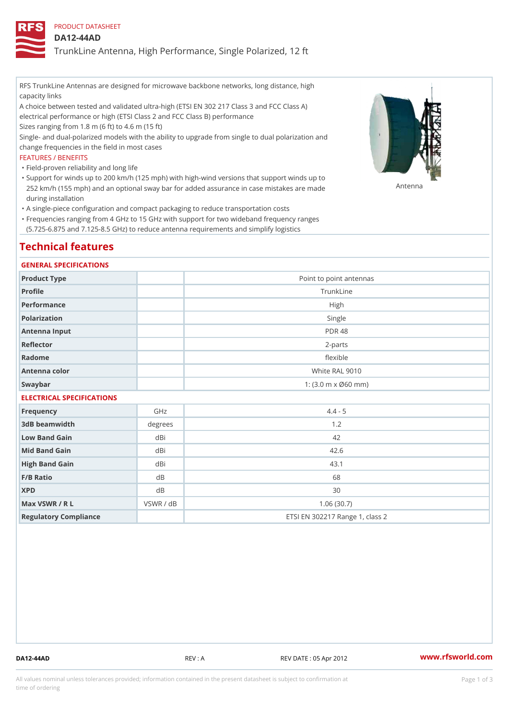PRODUCT DATASHEET

## DA12-44AD

TrunkLine Antenna, High Performance, Single Polarized, 12 ft

RFS TrunkLine Antennas are designed for microwave backbone networks, long distance, high capacity links

A choice between tested and validated ultra-high (ETSI EN 302 217 Class 3 and FCC Class A) electrical performance or high (ETSI Class 2 and FCC Class B) performance

Sizes ranging from 1.8 m (6 ft) to 4.6 m (15 ft)

Single- and dual-polarized models with the ability to upgrade from single to dual polarization and change frequencies in the field in most cases

## FEATURES / BENEFITS

"Field-proven reliability and long life

- Support for winds up to 200 km/h (125 mph) with high-wind versions that support winds up to " 252 km/h (155 mph) and an optional sway bar for added assurance in case m S # \$ R & B are made during installation
- "A single-piece configuration and compact packaging to reduce transportation costs
- Frequencies ranging from 4 GHz to 15 GHz with support for two wideband frequency ranges " (5.725-6.875 and 7.125-8.5 GHz) to reduce antenna requirements and simplify logistics

# Technical features

### GENERAL SPECIFICATIONS

| Product Type              | Point to point antennas                                 |  |  |  |
|---------------------------|---------------------------------------------------------|--|--|--|
| Profile                   | TrunkLine                                               |  |  |  |
| Performance               | High                                                    |  |  |  |
| Polarization              | Single                                                  |  |  |  |
| Antenna Input             | <b>PDR 48</b>                                           |  |  |  |
| Reflector                 | $2 - p$ arts                                            |  |  |  |
| Radome                    | flexible                                                |  |  |  |
| Antenna color             | White RAL 9010                                          |  |  |  |
| Swaybar                   | 1: $(3.0 \, \text{m} \times \emptyset 60 \, \text{mm})$ |  |  |  |
| FLEATBLANT ABEAIFIANTIANA |                                                         |  |  |  |

## ELECTRICAL SPECIFICATIONS

| Frequency             | GHz       | $4.4 - 5$                       |
|-----------------------|-----------|---------------------------------|
| 3dB beamwidth         | degrees   | 1.2                             |
| Low Band Gain         | dBi       | 42                              |
| Mid Band Gain         | dBi       | 42.6                            |
| High Band Gain        | dBi       | 43.1                            |
| F/B Ratio             | d B       | 68                              |
| <b>XPD</b>            | d B       | 30                              |
| Max VSWR / R L        | VSWR / dB | 1.06(30.7)                      |
| Regulatory Compliance |           | ETSI EN 302217 Range 1, class 2 |

DA12-44AD REV : A REV DATE : 05 Apr 2012 [www.](https://www.rfsworld.com)rfsworld.com

All values nominal unless tolerances provided; information contained in the present datasheet is subject to Pcapgeign mation time of ordering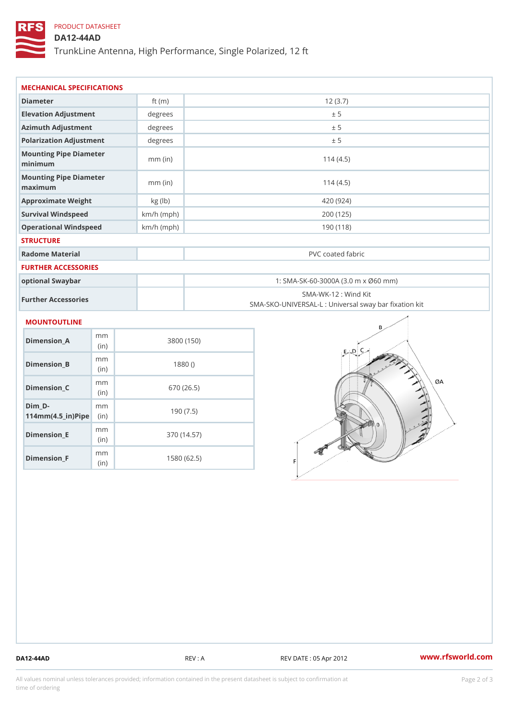# PRODUCT DATASHEET

## DA12-44AD

TrunkLine Antenna, High Performance, Single Polarized, 12 ft

| MECHANICAL SPECIFICATIONS                                         |              |                                                                           |  |  |
|-------------------------------------------------------------------|--------------|---------------------------------------------------------------------------|--|--|
| Diameter                                                          | ft $(m)$     | 12(3.7)                                                                   |  |  |
| Elevation Adjustment                                              | degree       | ± 5                                                                       |  |  |
| Azimuth Adjustment                                                | degrees      | ± 5                                                                       |  |  |
| Polarization Adjustment                                           | degrees      | ± 5                                                                       |  |  |
| Mounting Pipe Diameter<br>minimum                                 | $mm$ (in)    | 114(4.5)                                                                  |  |  |
| Mounting Pipe Diameter<br>maximum                                 | $mm$ (in)    | 114(4.5)                                                                  |  |  |
| Approximate Weight                                                | kg (lb)      | 420 (924)                                                                 |  |  |
| Survival Windspeed                                                | $km/h$ (mph) | 200 (125)                                                                 |  |  |
| Operational Windspeed                                             | $km/h$ (mph) | 190 (118)                                                                 |  |  |
| <b>STRUCTURE</b>                                                  |              |                                                                           |  |  |
| Radome Material                                                   |              | PVC coated fabric                                                         |  |  |
| FURTHER ACCESSORIES                                               |              |                                                                           |  |  |
| optional Swaybar                                                  |              | 1: SMA-SK-60-3000A (3.0 m x Ø60 mm)                                       |  |  |
| Further Accessories                                               |              | SMA-WK-12 : Wind Kit<br>SMA-SKO-UNIVERSAL-L : Universal sway bar fixation |  |  |
| <b>MOUNTOUTLINE</b>                                               |              |                                                                           |  |  |
| m m<br>Dimension_A<br>(in)                                        |              | 3800 (150)                                                                |  |  |
| m m<br>$Dimension_B$<br>(in)                                      |              | 1880()                                                                    |  |  |
| m m<br>Dimension_C<br>(in)                                        |              | 670 (26.5)                                                                |  |  |
| $Dim_D -$<br>m <sub>m</sub><br>$114$ m m $(4.5$ ir $)$ $R$ im $e$ |              | 190(7.5)                                                                  |  |  |

Dimension\_F m<sub>m</sub> (in) 1580 (62.5)

m<sub>m</sub> (in)

Dimension\_E

370 (14.57)

DA12-44AD REV : A REV DATE : 05 Apr 2012 [www.](https://www.rfsworld.com)rfsworld.com